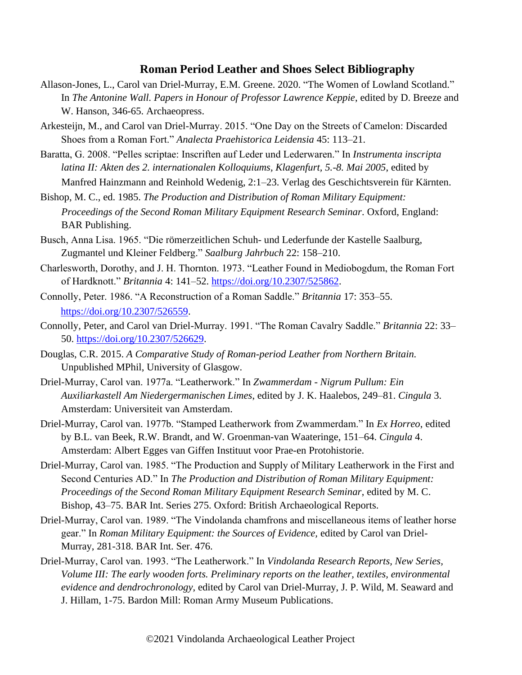## **Roman Period Leather and Shoes Select Bibliography**

- Allason-Jones, L., Carol van Driel-Murray, E.M. Greene. 2020. "The Women of Lowland Scotland." In *The Antonine Wall. Papers in Honour of Professor Lawrence Keppie*, edited by D. Breeze and W. Hanson, 346-65. Archaeopress.
- Arkesteijn, M., and Carol van Driel-Murray. 2015. "One Day on the Streets of Camelon: Discarded Shoes from a Roman Fort." *Analecta Praehistorica Leidensia* 45: 113–21.
- Baratta, G. 2008. "Pelles scriptae: Inscriften auf Leder und Lederwaren." In *Instrumenta inscripta latina II: Akten des 2. internationalen Kolloquiums, Klagenfurt, 5.-8. Mai 2005*, edited by Manfred Hainzmann and Reinhold Wedenig, 2:1–23. Verlag des Geschichtsverein für Kärnten.
- Bishop, M. C., ed. 1985. *The Production and Distribution of Roman Military Equipment: Proceedings of the Second Roman Military Equipment Research Seminar*. Oxford, England: BAR Publishing.
- Busch, Anna Lisa. 1965. "Die römerzeitlichen Schuh- und Lederfunde der Kastelle Saalburg, Zugmantel und Kleiner Feldberg." *Saalburg Jahrbuch* 22: 158–210.
- Charlesworth, Dorothy, and J. H. Thornton. 1973. "Leather Found in Mediobogdum, the Roman Fort of Hardknott." *Britannia* 4: 141–52. [https://doi.org/10.2307/525862.](https://doi.org/10.2307/525862)
- Connolly, Peter. 1986. "A Reconstruction of a Roman Saddle." *Britannia* 17: 353–55. [https://doi.org/10.2307/526559.](https://doi.org/10.2307/526559)
- Connolly, Peter, and Carol van Driel-Murray. 1991. "The Roman Cavalry Saddle." *Britannia* 22: 33– 50. [https://doi.org/10.2307/526629.](https://doi.org/10.2307/526629)
- Douglas, C.R. 2015. *A Comparative Study of Roman-period Leather from Northern Britain.* Unpublished MPhil, University of Glasgow.
- Driel-Murray, Carol van. 1977a. "Leatherwork." In *Zwammerdam - Nigrum Pullum: Ein Auxiliarkastell Am Niedergermanischen Limes*, edited by J. K. Haalebos, 249–81. *Cingula* 3. Amsterdam: Universiteit van Amsterdam.
- Driel-Murray, Carol van. 1977b. "Stamped Leatherwork from Zwammerdam." In *Ex Horreo*, edited by B.L. van Beek, R.W. Brandt, and W. Groenman-van Waateringe, 151–64. *Cingula* 4. Amsterdam: Albert Egges van Giffen Instituut voor Prae-en Protohistorie.
- Driel-Murray, Carol van. 1985. "The Production and Supply of Military Leatherwork in the First and Second Centuries AD." In *The Production and Distribution of Roman Military Equipment: Proceedings of the Second Roman Military Equipment Research Seminar*, edited by M. C. Bishop, 43–75. BAR Int. Series 275. Oxford: British Archaeological Reports.
- Driel-Murray, Carol van. 1989. "The Vindolanda chamfrons and miscellaneous items of leather horse gear." In *Roman Military Equipment: the Sources of Evidence,* edited by Carol van Driel-Murray, 281-318. BAR Int. Ser. 476.
- Driel-Murray, Carol van. 1993. "The Leatherwork." In *Vindolanda Research Reports, New Series, Volume III: The early wooden forts. Preliminary reports on the leather, textiles, environmental evidence and dendrochronology*, edited by Carol van Driel-Murray, J. P. Wild, M. Seaward and J. Hillam, 1-75. Bardon Mill: Roman Army Museum Publications.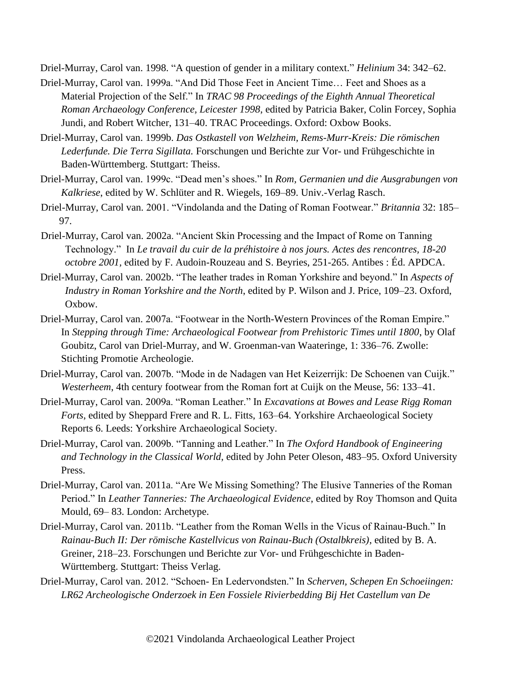Driel-Murray, Carol van. 1998. "A question of gender in a military context." *Helinium* 34: 342–62.

- Driel-Murray, Carol van. 1999a. "And Did Those Feet in Ancient Time… Feet and Shoes as a Material Projection of the Self." In *TRAC 98 Proceedings of the Eighth Annual Theoretical Roman Archaeology Conference, Leicester 1998*, edited by Patricia Baker, Colin Forcey, Sophia Jundi, and Robert Witcher, 131–40. TRAC Proceedings. Oxford: Oxbow Books.
- Driel-Murray, Carol van. 1999b. *Das Ostkastell von Welzheim, Rems-Murr-Kreis: Die römischen Lederfunde. Die Terra Sigillata.* Forschungen und Berichte zur Vor- und Frühgeschichte in Baden-Württemberg. Stuttgart: Theiss.
- Driel-Murray, Carol van. 1999c. "Dead men's shoes." In *Rom, Germanien und die Ausgrabungen von Kalkriese*, edited by W. Schlüter and R. Wiegels, 169–89. Univ.-Verlag Rasch.
- Driel-Murray, Carol van. 2001. "Vindolanda and the Dating of Roman Footwear." *Britannia* 32: 185– 97.
- Driel-Murray, Carol van. 2002a. "Ancient Skin Processing and the Impact of Rome on Tanning Technology." In *Le travail du cuir de la préhistoire à nos jours. Actes des rencontres, 18-20 octobre 2001,* edited by F. Audoin-Rouzeau and S. Beyries, 251-265. Antibes : Éd. APDCA.
- Driel-Murray, Carol van. 2002b. "The leather trades in Roman Yorkshire and beyond." In *Aspects of Industry in Roman Yorkshire and the North*, edited by P. Wilson and J. Price, 109–23. Oxford, Oxbow.
- Driel-Murray, Carol van. 2007a. "Footwear in the North-Western Provinces of the Roman Empire." In *Stepping through Time: Archaeological Footwear from Prehistoric Times until 1800*, by Olaf Goubitz, Carol van Driel-Murray, and W. Groenman-van Waateringe, 1: 336–76. Zwolle: Stichting Promotie Archeologie.
- Driel-Murray, Carol van. 2007b. "Mode in de Nadagen van Het Keizerrijk: De Schoenen van Cuijk." *Westerheem*, 4th century footwear from the Roman fort at Cuijk on the Meuse, 56: 133–41.
- Driel-Murray, Carol van. 2009a. "Roman Leather." In *Excavations at Bowes and Lease Rigg Roman Forts*, edited by Sheppard Frere and R. L. Fitts, 163–64. Yorkshire Archaeological Society Reports 6. Leeds: Yorkshire Archaeological Society.
- Driel-Murray, Carol van. 2009b. "Tanning and Leather." In *The Oxford Handbook of Engineering and Technology in the Classical World*, edited by John Peter Oleson, 483–95. Oxford University Press.
- Driel-Murray, Carol van. 2011a. "Are We Missing Something? The Elusive Tanneries of the Roman Period." In *Leather Tanneries: The Archaeological Evidence*, edited by Roy Thomson and Quita Mould, 69– 83. London: Archetype.
- Driel-Murray, Carol van. 2011b. "Leather from the Roman Wells in the Vicus of Rainau-Buch." In *Rainau-Buch II: Der römische Kastellvicus von Rainau-Buch (Ostalbkreis)*, edited by B. A. Greiner, 218–23. Forschungen und Berichte zur Vor- und Frühgeschichte in Baden-Württemberg. Stuttgart: Theiss Verlag.
- Driel-Murray, Carol van. 2012. "Schoen- En Ledervondsten." In *Scherven, Schepen En Schoeiingen: LR62 Archeologische Onderzoek in Een Fossiele Rivierbedding Bij Het Castellum van De*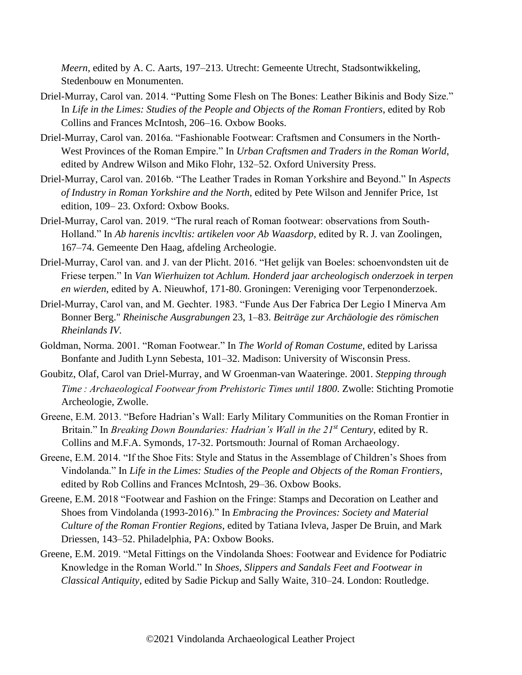*Meern*, edited by A. C. Aarts, 197–213. Utrecht: Gemeente Utrecht, Stadsontwikkeling, Stedenbouw en Monumenten.

- Driel-Murray, Carol van. 2014. "Putting Some Flesh on The Bones: Leather Bikinis and Body Size." In *Life in the Limes: Studies of the People and Objects of the Roman Frontiers*, edited by Rob Collins and Frances McIntosh, 206–16. Oxbow Books.
- Driel-Murray, Carol van. 2016a. "Fashionable Footwear: Craftsmen and Consumers in the North-West Provinces of the Roman Empire." In *Urban Craftsmen and Traders in the Roman World*, edited by Andrew Wilson and Miko Flohr, 132–52. Oxford University Press.
- Driel-Murray, Carol van. 2016b. "The Leather Trades in Roman Yorkshire and Beyond." In *Aspects of Industry in Roman Yorkshire and the North*, edited by Pete Wilson and Jennifer Price, 1st edition, 109– 23. Oxford: Oxbow Books.
- Driel-Murray, Carol van. 2019. "The rural reach of Roman footwear: observations from South-Holland." In *Ab harenis incvltis: artikelen voor Ab Waasdorp*, edited by R. J. van Zoolingen, 167–74. Gemeente Den Haag, afdeling Archeologie.
- Driel-Murray, Carol van. and J. van der Plicht. 2016. "Het gelijk van Boeles: schoenvondsten uit de Friese terpen." In *Van Wierhuizen tot Achlum. Honderd jaar archeologisch onderzoek in terpen en wierden*, edited by A. Nieuwhof, 171-80. Groningen: Vereniging voor Terpenonderzoek.
- Driel-Murray, Carol van, and M. Gechter. 1983. "Funde Aus Der Fabrica Der Legio I Minerva Am Bonner Berg." *Rheinische Ausgrabungen* 23, 1–83. *Beiträge zur Archäologie des römischen Rheinlands IV.*
- Goldman, Norma. 2001. "Roman Footwear." In *The World of Roman Costume*, edited by Larissa Bonfante and Judith Lynn Sebesta, 101–32. Madison: University of Wisconsin Press.
- Goubitz, Olaf, Carol van Driel-Murray, and W Groenman-van Waateringe. 2001. *Stepping through Time : Archaeological Footwear from Prehistoric Times until 1800*. Zwolle: Stichting Promotie Archeologie, Zwolle.
- Greene, E.M. 2013. "Before Hadrian's Wall: Early Military Communities on the Roman Frontier in Britain." In *Breaking Down Boundaries: Hadrian's Wall in the 21st Century*, edited by R. Collins and M.F.A. Symonds, 17-32. Portsmouth: Journal of Roman Archaeology.
- Greene, E.M. 2014. "If the Shoe Fits: Style and Status in the Assemblage of Children's Shoes from Vindolanda." In *Life in the Limes: Studies of the People and Objects of the Roman Frontiers*, edited by Rob Collins and Frances McIntosh, 29–36. Oxbow Books.
- Greene, E.M. 2018 "Footwear and Fashion on the Fringe: Stamps and Decoration on Leather and Shoes from Vindolanda (1993-2016)." In *Embracing the Provinces: Society and Material Culture of the Roman Frontier Regions*, edited by Tatiana Ivleva, Jasper De Bruin, and Mark Driessen, 143–52. Philadelphia, PA: Oxbow Books.
- Greene, E.M. 2019. "Metal Fittings on the Vindolanda Shoes: Footwear and Evidence for Podiatric Knowledge in the Roman World." In *Shoes, Slippers and Sandals Feet and Footwear in Classical Antiquity*, edited by Sadie Pickup and Sally Waite, 310–24. London: Routledge.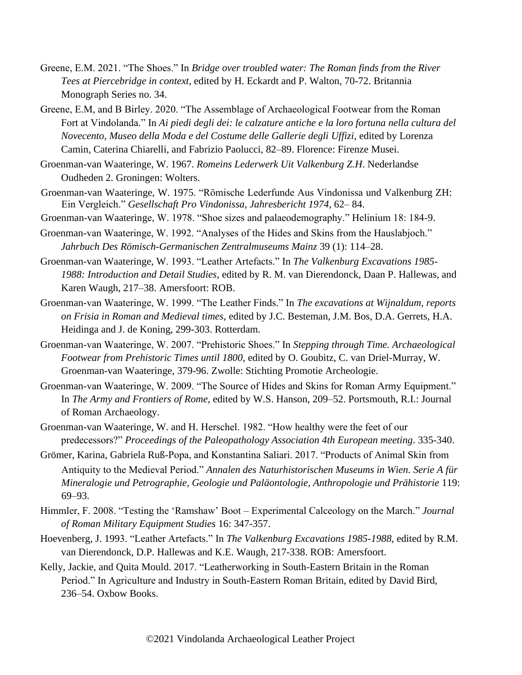- Greene, E.M. 2021. "The Shoes." In *Bridge over troubled water: The Roman finds from the River Tees at Piercebridge in context*, edited by H. Eckardt and P. Walton, 70-72. Britannia Monograph Series no. 34.
- Greene, E.M, and B Birley. 2020. "The Assemblage of Archaeological Footwear from the Roman Fort at Vindolanda." In *Ai piedi degli dei: le calzature antiche e la loro fortuna nella cultura del Novecento, Museo della Moda e del Costume delle Gallerie degli Uffizi*, edited by Lorenza Camin, Caterina Chiarelli, and Fabrizio Paolucci, 82–89. Florence: Firenze Musei.
- Groenman-van Waateringe, W. 1967. *Romeins Lederwerk Uit Valkenburg Z.H*. Nederlandse Oudheden 2. Groningen: Wolters.
- Groenman-van Waateringe, W. 1975. "Römische Lederfunde Aus Vindonissa und Valkenburg ZH: Ein Vergleich." *Gesellschaft Pro Vindonissa, Jahresbericht 1974*, 62– 84.
- Groenman-van Waateringe, W. 1978. "Shoe sizes and palaeodemography." Helinium 18: 184-9.
- Groenman-van Waateringe, W. 1992. "Analyses of the Hides and Skins from the Hauslabjoch." *Jahrbuch Des Römisch-Germanischen Zentralmuseums Mainz* 39 (1): 114–28.
- Groenman-van Waateringe, W. 1993. "Leather Artefacts." In *The Valkenburg Excavations 1985- 1988: Introduction and Detail Studies*, edited by R. M. van Dierendonck, Daan P. Hallewas, and Karen Waugh, 217–38. Amersfoort: ROB.
- Groenman-van Waateringe, W. 1999. "The Leather Finds." In *The excavations at Wijnaldum, reports on Frisia in Roman and Medieval times,* edited by J.C. Besteman, J.M. Bos, D.A. Gerrets, H.A. Heidinga and J. de Koning, 299-303. Rotterdam.
- Groenman-van Waateringe, W. 2007. "Prehistoric Shoes." In *Stepping through Time. Archaeological Footwear from Prehistoric Times until 1800,* edited by O. Goubitz, C. van Driel-Murray, W. Groenman-van Waateringe, 379-96. Zwolle: Stichting Promotie Archeologie.
- Groenman-van Waateringe, W. 2009. "The Source of Hides and Skins for Roman Army Equipment." In *The Army and Frontiers of Rome*, edited by W.S. Hanson, 209–52. Portsmouth, R.I.: Journal of Roman Archaeology.
- Groenman-van Waateringe, W. and H. Herschel. 1982. "How healthy were the feet of our predecessors?" *Proceedings of the Paleopathology Association 4th European meeting*. 335-340.
- Grömer, Karina, Gabriela Ruß-Popa, and Konstantina Saliari. 2017. "Products of Animal Skin from Antiquity to the Medieval Period." *Annalen des Naturhistorischen Museums in Wien. Serie A für Mineralogie und Petrographie, Geologie und Paläontologie, Anthropologie und Prähistorie* 119: 69–93.
- Himmler, F. 2008. "Testing the 'Ramshaw' Boot Experimental Calceology on the March." *Journal of Roman Military Equipment Studies* 16: 347-357.
- Hoevenberg, J. 1993. "Leather Artefacts." In *The Valkenburg Excavations 1985-1988*, edited by R.M. van Dierendonck, D.P. Hallewas and K.E. Waugh, 217-338. ROB: Amersfoort.
- Kelly, Jackie, and Quita Mould. 2017. "Leatherworking in South-Eastern Britain in the Roman Period." In Agriculture and Industry in South-Eastern Roman Britain, edited by David Bird, 236–54. Oxbow Books.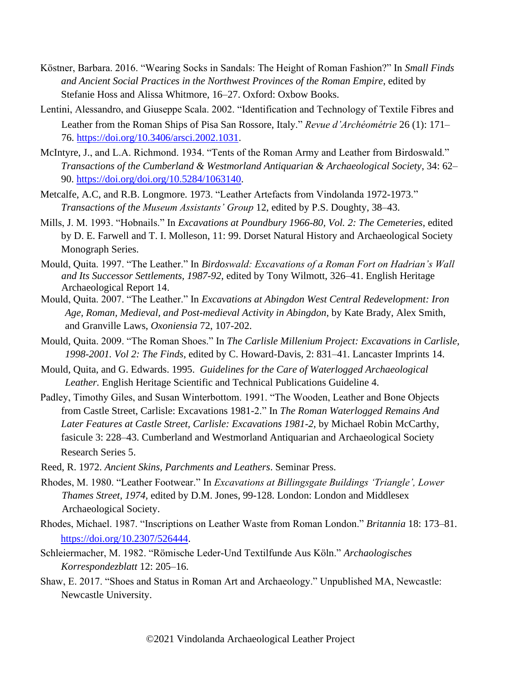- Köstner, Barbara. 2016. "Wearing Socks in Sandals: The Height of Roman Fashion?" In *Small Finds and Ancient Social Practices in the Northwest Provinces of the Roman Empire*, edited by Stefanie Hoss and Alissa Whitmore, 16–27. Oxford: Oxbow Books.
- Lentini, Alessandro, and Giuseppe Scala. 2002. "Identification and Technology of Textile Fibres and Leather from the Roman Ships of Pisa San Rossore, Italy." *Revue d'Archéométrie* 26 (1): 171– 76. [https://doi.org/10.3406/arsci.2002.1031.](https://doi.org/10.3406/arsci.2002.1031)
- McIntyre, J., and L.A. Richmond. 1934. "Tents of the Roman Army and Leather from Birdoswald." *Transactions of the Cumberland & Westmorland Antiquarian & Archaeological Society*, 34: 62– 90. [https://doi.org/doi.org/10.5284/1063140.](https://doi.org/doi.org/10.5284/1063140)
- Metcalfe, A.C, and R.B. Longmore. 1973. "Leather Artefacts from Vindolanda 1972-1973." *Transactions of the Museum Assistants' Group* 12, edited by P.S. Doughty, 38–43.
- Mills, J. M. 1993. "Hobnails." In *Excavations at Poundbury 1966-80, Vol. 2: The Cemeteries*, edited by D. E. Farwell and T. I. Molleson, 11: 99. Dorset Natural History and Archaeological Society Monograph Series.
- Mould, Quita. 1997. "The Leather." In *Birdoswald: Excavations of a Roman Fort on Hadrian's Wall and Its Successor Settlements, 1987-92*, edited by Tony Wilmott, 326–41. English Heritage Archaeological Report 14.
- Mould, Quita. 2007. "The Leather." In *Excavations at Abingdon West Central Redevelopment: Iron Age, Roman, Medieval, and Post-medieval Activity in Abingdon*, by Kate Brady, Alex Smith, and Granville Laws, *Oxoniensia* 72, 107-202.
- Mould, Quita. 2009. "The Roman Shoes." In *The Carlisle Millenium Project: Excavations in Carlisle, 1998-2001. Vol 2: The Finds*, edited by C. Howard-Davis, 2: 831–41. Lancaster Imprints 14.
- Mould, Quita, and G. Edwards. 1995. *Guidelines for the Care of Waterlogged Archaeological Leather.* English Heritage Scientific and Technical Publications Guideline 4.
- Padley, Timothy Giles, and Susan Winterbottom. 1991. "The Wooden, Leather and Bone Objects from Castle Street, Carlisle: Excavations 1981-2." In *The Roman Waterlogged Remains And Later Features at Castle Street, Carlisle: Excavations 1981-2*, by Michael Robin McCarthy, fasicule 3: 228–43. Cumberland and Westmorland Antiquarian and Archaeological Society Research Series 5.
- Reed, R. 1972. *Ancient Skins, Parchments and Leathers*. Seminar Press.
- Rhodes, M. 1980. "Leather Footwear." In *Excavations at Billingsgate Buildings 'Triangle', Lower Thames Street, 1974,* edited by D.M. Jones*,* 99-128. London: London and Middlesex Archaeological Society.
- Rhodes, Michael. 1987. "Inscriptions on Leather Waste from Roman London." *Britannia* 18: 173–81. [https://doi.org/10.2307/526444.](https://doi.org/10.2307/526444)
- Schleiermacher, M. 1982. "Römische Leder-Und Textilfunde Aus Köln." *Archaologisches Korrespondezblatt* 12: 205–16.
- Shaw, E. 2017. "Shoes and Status in Roman Art and Archaeology." Unpublished MA, Newcastle: Newcastle University.